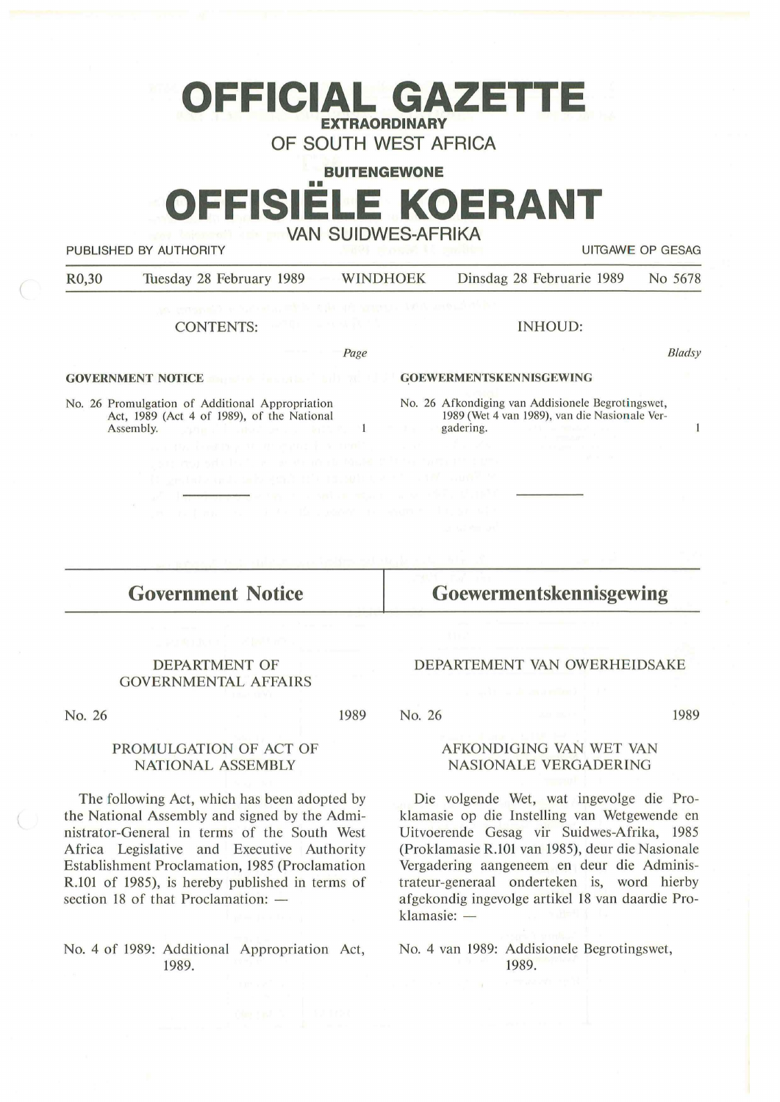# **OFFICIAL GAZETTE EXTRAORDINARY**

**OF SOUTH WEST AFRICA** 

#### **BUITENGEWONE**

# •• **OFFISIELE KOERANT VAN SUIDWES-AFRIKA**

PUBLISHED BY AUTHORITY UITGAWE OP GESAG

Bladsy

 $\mathbf{1}$ 

| R <sub>0</sub> ,30 | Tuesday 28 February 1989 | WINDHOEK | Dinsdag 28 Februarie 1989 No 5678 |  |
|--------------------|--------------------------|----------|-----------------------------------|--|
|                    |                          |          |                                   |  |

*Page* 

 $\mathbf{1}$ 

#### CONTENTS:

#### **GOVERNMENT NOTICE**

No. 26 Promulgation of Additional Appropriation Act, 1989 (Act 4 of 1989), of the National Assembly.

#### **GOEWERMENTSKENNISGEWING**

No. 26 Afkondiging van Addisionele Begrotingswet, 1989 (Wet 4 van 1989), van die Nasionale Vergadering.

INHOUD:

## **Government Notice**

**Goewermentskennisgewing** 

#### DEPARTMENT OF GOVERNMENTAL AFFAIRS

No. 26

1989

#### PROMULGATION OF ACT OF **NATIONAL ASSEMBLY**

The following Act, which has been adopted by the National Assembly and signed by the Administrator-General in terms of the South West Africa Legislative and Executive Authority Establishment Proclamation, 1985 (Proclamation R.101 of 1985), is hereby published in terms of section 18 of that Proclamation:  $-$ 

No. 4 of 1989: Additional Appropriation Act, 1989.

#### DEPARTEMENT VAN OWERHEIDSAKE

No. 26

1989

#### **AFKONDIGING VAN WET VAN NASIONALE VERGADERING**

Die volgende Wet, wat ingevolge die Proklamasie op die lnstelling van Wetgewende en Uitvoerende Gesag vir Suidwes-Afrika, 1985 (Proklamasie R.101 van 1985), deur die Nasionale Vergadering aangeneem en deur die Administrateur-generaal onderteken is, word hierby afgekondig ingevolge artikel 18 van daardie Proklamasie: -

No. 4 van 1989: Addisionele Begrotingswet, 1989.